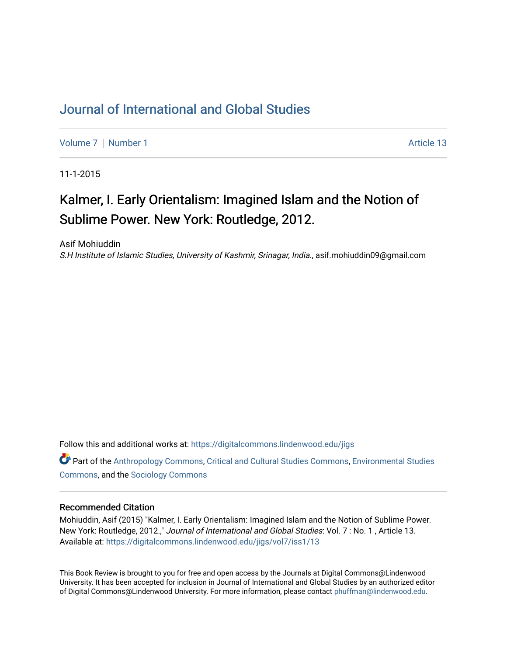## [Journal of International and Global Studies](https://digitalcommons.lindenwood.edu/jigs)

[Volume 7](https://digitalcommons.lindenwood.edu/jigs/vol7) | [Number 1](https://digitalcommons.lindenwood.edu/jigs/vol7/iss1) Article 13

11-1-2015

# Kalmer, I. Early Orientalism: Imagined Islam and the Notion of Sublime Power. New York: Routledge, 2012.

Asif Mohiuddin

S.H Institute of Islamic Studies, University of Kashmir, Srinagar, India., asif.mohiuddin09@gmail.com

Follow this and additional works at: [https://digitalcommons.lindenwood.edu/jigs](https://digitalcommons.lindenwood.edu/jigs?utm_source=digitalcommons.lindenwood.edu%2Fjigs%2Fvol7%2Fiss1%2F13&utm_medium=PDF&utm_campaign=PDFCoverPages) 

**C** Part of the [Anthropology Commons](http://network.bepress.com/hgg/discipline/318?utm_source=digitalcommons.lindenwood.edu%2Fjigs%2Fvol7%2Fiss1%2F13&utm_medium=PDF&utm_campaign=PDFCoverPages), [Critical and Cultural Studies Commons](http://network.bepress.com/hgg/discipline/328?utm_source=digitalcommons.lindenwood.edu%2Fjigs%2Fvol7%2Fiss1%2F13&utm_medium=PDF&utm_campaign=PDFCoverPages), Environmental Studies [Commons](http://network.bepress.com/hgg/discipline/1333?utm_source=digitalcommons.lindenwood.edu%2Fjigs%2Fvol7%2Fiss1%2F13&utm_medium=PDF&utm_campaign=PDFCoverPages), and the [Sociology Commons](http://network.bepress.com/hgg/discipline/416?utm_source=digitalcommons.lindenwood.edu%2Fjigs%2Fvol7%2Fiss1%2F13&utm_medium=PDF&utm_campaign=PDFCoverPages)

#### Recommended Citation

Mohiuddin, Asif (2015) "Kalmer, I. Early Orientalism: Imagined Islam and the Notion of Sublime Power. New York: Routledge, 2012.," Journal of International and Global Studies: Vol. 7 : No. 1 , Article 13. Available at: [https://digitalcommons.lindenwood.edu/jigs/vol7/iss1/13](https://digitalcommons.lindenwood.edu/jigs/vol7/iss1/13?utm_source=digitalcommons.lindenwood.edu%2Fjigs%2Fvol7%2Fiss1%2F13&utm_medium=PDF&utm_campaign=PDFCoverPages) 

This Book Review is brought to you for free and open access by the Journals at Digital Commons@Lindenwood University. It has been accepted for inclusion in Journal of International and Global Studies by an authorized editor of Digital Commons@Lindenwood University. For more information, please contact [phuffman@lindenwood.edu](mailto:phuffman@lindenwood.edu).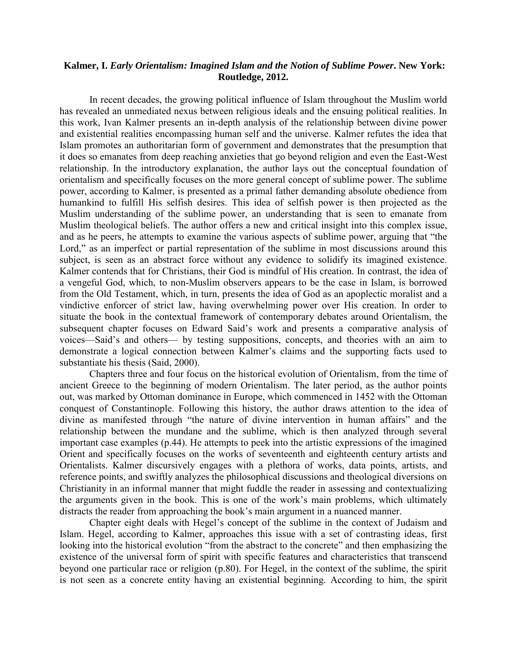### **Kalmer, I.** *Early Orientalism: Imagined Islam and the Notion of Sublime Power***. New York: Routledge, 2012.**

In recent decades, the growing political influence of Islam throughout the Muslim world has revealed an unmediated nexus between religious ideals and the ensuing political realities. In this work, Ivan Kalmer presents an in-depth analysis of the relationship between divine power and existential realities encompassing human self and the universe. Kalmer refutes the idea that Islam promotes an authoritarian form of government and demonstrates that the presumption that it does so emanates from deep reaching anxieties that go beyond religion and even the East-West relationship. In the introductory explanation, the author lays out the conceptual foundation of orientalism and specifically focuses on the more general concept of sublime power. The sublime power, according to Kalmer, is presented as a primal father demanding absolute obedience from humankind to fulfill His selfish desires. This idea of selfish power is then projected as the Muslim understanding of the sublime power, an understanding that is seen to emanate from Muslim theological beliefs. The author offers a new and critical insight into this complex issue, and as he peers, he attempts to examine the various aspects of sublime power, arguing that "the Lord," as an imperfect or partial representation of the sublime in most discussions around this subject, is seen as an abstract force without any evidence to solidify its imagined existence. Kalmer contends that for Christians, their God is mindful of His creation. In contrast, the idea of a vengeful God, which, to non-Muslim observers appears to be the case in Islam, is borrowed from the Old Testament, which, in turn, presents the idea of God as an apoplectic moralist and a vindictive enforcer of strict law, having overwhelming power over His creation. In order to situate the book in the contextual framework of contemporary debates around Orientalism, the subsequent chapter focuses on Edward Said's work and presents a comparative analysis of voices—Said's and others— by testing suppositions, concepts, and theories with an aim to demonstrate a logical connection between Kalmer's claims and the supporting facts used to substantiate his thesis (Said, 2000).

Chapters three and four focus on the historical evolution of Orientalism, from the time of ancient Greece to the beginning of modern Orientalism. The later period, as the author points out, was marked by Ottoman dominance in Europe, which commenced in 1452 with the Ottoman conquest of Constantinople. Following this history, the author draws attention to the idea of divine as manifested through "the nature of divine intervention in human affairs" and the relationship between the mundane and the sublime, which is then analyzed through several important case examples (p.44). He attempts to peek into the artistic expressions of the imagined Orient and specifically focuses on the works of seventeenth and eighteenth century artists and Orientalists. Kalmer discursively engages with a plethora of works, data points, artists, and reference points, and swiftly analyzes the philosophical discussions and theological diversions on Christianity in an informal manner that might fuddle the reader in assessing and contextualizing the arguments given in the book. This is one of the work's main problems, which ultimately distracts the reader from approaching the book's main argument in a nuanced manner.

Chapter eight deals with Hegel's concept of the sublime in the context of Judaism and Islam. Hegel, according to Kalmer, approaches this issue with a set of contrasting ideas, first looking into the historical evolution "from the abstract to the concrete" and then emphasizing the existence of the universal form of spirit with specific features and characteristics that transcend beyond one particular race or religion (p.80). For Hegel, in the context of the sublime, the spirit is not seen as a concrete entity having an existential beginning. According to him, the spirit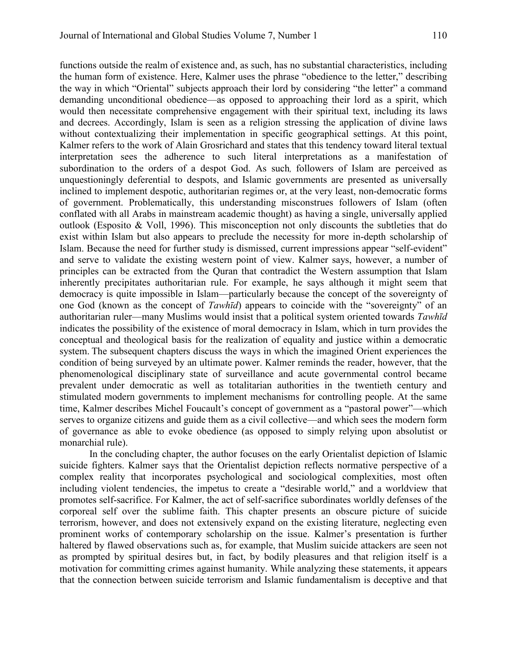functions outside the realm of existence and, as such, has no substantial characteristics, including the human form of existence. Here, Kalmer uses the phrase "obedience to the letter," describing the way in which "Oriental" subjects approach their lord by considering "the letter" a command demanding unconditional obedience—as opposed to approaching their lord as a spirit, which would then necessitate comprehensive engagement with their spiritual text, including its laws and decrees. Accordingly, Islam is seen as a religion stressing the application of divine laws without contextualizing their implementation in specific geographical settings. At this point, Kalmer refers to the work of Alain Grosrichard and states that this tendency toward literal textual interpretation sees the adherence to such literal interpretations as a manifestation of subordination to the orders of a despot God. As such, followers of Islam are perceived as unquestioningly deferential to despots, and Islamic governments are presented as universally inclined to implement despotic, authoritarian regimes or, at the very least, non-democratic forms of government. Problematically, this understanding misconstrues followers of Islam (often conflated with all Arabs in mainstream academic thought) as having a single, universally applied outlook (Esposito & Voll, 1996). This misconception not only discounts the subtleties that do exist within Islam but also appears to preclude the necessity for more in-depth scholarship of Islam. Because the need for further study is dismissed, current impressions appear "self-evident" and serve to validate the existing western point of view. Kalmer says, however, a number of principles can be extracted from the Quran that contradict the Western assumption that Islam inherently precipitates authoritarian rule. For example, he says although it might seem that democracy is quite impossible in Islam—particularly because the concept of the sovereignty of one God (known as the concept of *Tawhīd*) appears to coincide with the "sovereignty" of an authoritarian ruler—many Muslims would insist that a political system oriented towards *Tawhīd*  indicates the possibility of the existence of moral democracy in Islam, which in turn provides the conceptual and theological basis for the realization of equality and justice within a democratic system. The subsequent chapters discuss the ways in which the imagined Orient experiences the condition of being surveyed by an ultimate power. Kalmer reminds the reader, however, that the phenomenological disciplinary state of surveillance and acute governmental control became prevalent under democratic as well as totalitarian authorities in the twentieth century and stimulated modern governments to implement mechanisms for controlling people. At the same time, Kalmer describes Michel Foucault's concept of government as a "pastoral power"—which serves to organize citizens and guide them as a civil collective—and which sees the modern form of governance as able to evoke obedience (as opposed to simply relying upon absolutist or monarchial rule).

In the concluding chapter, the author focuses on the early Orientalist depiction of Islamic suicide fighters. Kalmer says that the Orientalist depiction reflects normative perspective of a complex reality that incorporates psychological and sociological complexities, most often including violent tendencies, the impetus to create a "desirable world," and a worldview that promotes self-sacrifice. For Kalmer, the act of self-sacrifice subordinates worldly defenses of the corporeal self over the sublime faith. This chapter presents an obscure picture of suicide terrorism, however, and does not extensively expand on the existing literature, neglecting even prominent works of contemporary scholarship on the issue. Kalmer's presentation is further haltered by flawed observations such as, for example, that Muslim suicide attackers are seen not as prompted by spiritual desires but, in fact, by bodily pleasures and that religion itself is a motivation for committing crimes against humanity. While analyzing these statements, it appears that the connection between suicide terrorism and Islamic fundamentalism is deceptive and that